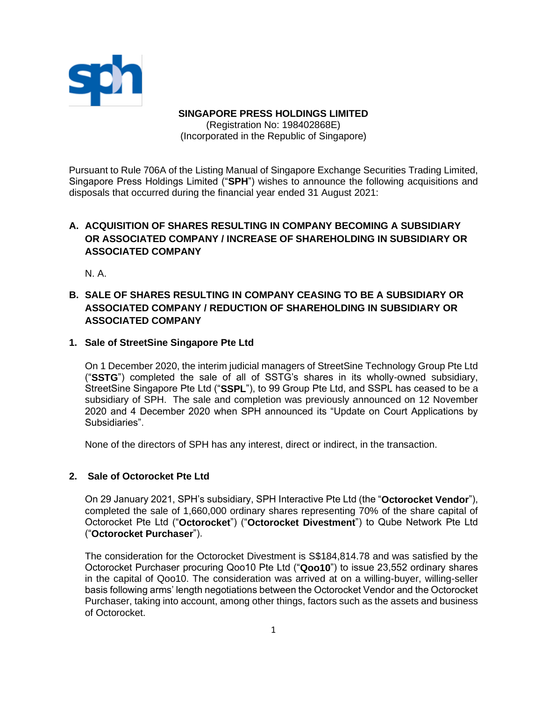

**SINGAPORE PRESS HOLDINGS LIMITED** (Registration No: 198402868E) (Incorporated in the Republic of Singapore)

Pursuant to Rule 706A of the Listing Manual of Singapore Exchange Securities Trading Limited, Singapore Press Holdings Limited ("**SPH**") wishes to announce the following acquisitions and disposals that occurred during the financial year ended 31 August 2021:

# **A. ACQUISITION OF SHARES RESULTING IN COMPANY BECOMING A SUBSIDIARY OR ASSOCIATED COMPANY / INCREASE OF SHAREHOLDING IN SUBSIDIARY OR ASSOCIATED COMPANY**

N. A.

# **B. SALE OF SHARES RESULTING IN COMPANY CEASING TO BE A SUBSIDIARY OR ASSOCIATED COMPANY / REDUCTION OF SHAREHOLDING IN SUBSIDIARY OR ASSOCIATED COMPANY**

## **1. Sale of StreetSine Singapore Pte Ltd**

On 1 December 2020, the interim judicial managers of StreetSine Technology Group Pte Ltd ("**SSTG**") completed the sale of all of SSTG's shares in its wholly-owned subsidiary, StreetSine Singapore Pte Ltd ("**SSPL**"), to 99 Group Pte Ltd, and SSPL has ceased to be a subsidiary of SPH. The sale and completion was previously announced on 12 November 2020 and 4 December 2020 when SPH announced its "Update on Court Applications by Subsidiaries".

None of the directors of SPH has any interest, direct or indirect, in the transaction.

# **2. Sale of Octorocket Pte Ltd**

On 29 January 2021, SPH's subsidiary, SPH Interactive Pte Ltd (the "**Octorocket Vendor**"), completed the sale of 1,660,000 ordinary shares representing 70% of the share capital of Octorocket Pte Ltd ("**Octorocket**") ("**Octorocket Divestment**") to Qube Network Pte Ltd ("**Octorocket Purchaser**").

The consideration for the Octorocket Divestment is S\$184,814.78 and was satisfied by the Octorocket Purchaser procuring Qoo10 Pte Ltd ("**Qoo10**") to issue 23,552 ordinary shares in the capital of Qoo10. The consideration was arrived at on a willing-buyer, willing-seller basis following arms' length negotiations between the Octorocket Vendor and the Octorocket Purchaser, taking into account, among other things, factors such as the assets and business of Octorocket.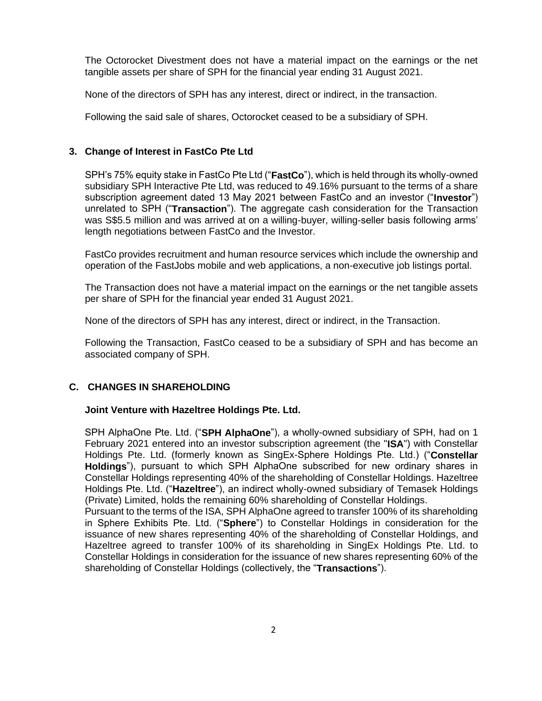The Octorocket Divestment does not have a material impact on the earnings or the net tangible assets per share of SPH for the financial year ending 31 August 2021.

None of the directors of SPH has any interest, direct or indirect, in the transaction.

Following the said sale of shares, Octorocket ceased to be a subsidiary of SPH.

## **3. Change of Interest in FastCo Pte Ltd**

SPH's 75% equity stake in FastCo Pte Ltd ("**FastCo**"), which is held through its wholly-owned subsidiary SPH Interactive Pte Ltd, was reduced to 49.16% pursuant to the terms of a share subscription agreement dated 13 May 2021 between FastCo and an investor ("**Investor**") unrelated to SPH ("**Transaction**"). The aggregate cash consideration for the Transaction was S\$5.5 million and was arrived at on a willing-buyer, willing-seller basis following arms' length negotiations between FastCo and the Investor.

FastCo provides recruitment and human resource services which include the ownership and operation of the FastJobs mobile and web applications, a non-executive job listings portal.

The Transaction does not have a material impact on the earnings or the net tangible assets per share of SPH for the financial year ended 31 August 2021.

None of the directors of SPH has any interest, direct or indirect, in the Transaction.

Following the Transaction, FastCo ceased to be a subsidiary of SPH and has become an associated company of SPH.

### **C. CHANGES IN SHAREHOLDING**

#### **Joint Venture with Hazeltree Holdings Pte. Ltd.**

SPH AlphaOne Pte. Ltd. ("**SPH AlphaOne**"), a wholly-owned subsidiary of SPH, had on 1 February 2021 entered into an investor subscription agreement (the "**ISA**") with Constellar Holdings Pte. Ltd. (formerly known as SingEx-Sphere Holdings Pte. Ltd.) ("**Constellar Holdings**"), pursuant to which SPH AlphaOne subscribed for new ordinary shares in Constellar Holdings representing 40% of the shareholding of Constellar Holdings. Hazeltree Holdings Pte. Ltd. ("**Hazeltree**"), an indirect wholly-owned subsidiary of Temasek Holdings (Private) Limited, holds the remaining 60% shareholding of Constellar Holdings.

Pursuant to the terms of the ISA, SPH AlphaOne agreed to transfer 100% of its shareholding in Sphere Exhibits Pte. Ltd. ("**Sphere**") to Constellar Holdings in consideration for the issuance of new shares representing 40% of the shareholding of Constellar Holdings, and Hazeltree agreed to transfer 100% of its shareholding in SingEx Holdings Pte. Ltd. to Constellar Holdings in consideration for the issuance of new shares representing 60% of the shareholding of Constellar Holdings (collectively, the "**Transactions**").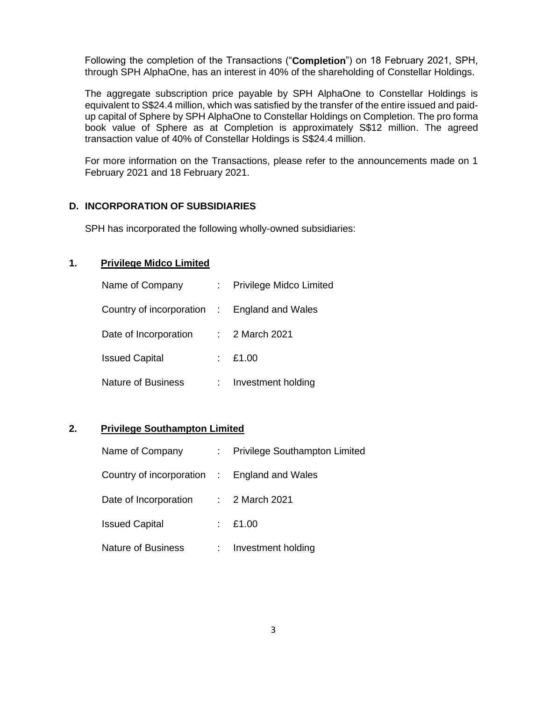Following the completion of the Transactions ("**Completion**") on 18 February 2021, SPH, through SPH AlphaOne, has an interest in 40% of the shareholding of Constellar Holdings.

The aggregate subscription price payable by SPH AlphaOne to Constellar Holdings is equivalent to S\$24.4 million, which was satisfied by the transfer of the entire issued and paidup capital of Sphere by SPH AlphaOne to Constellar Holdings on Completion. The pro forma book value of Sphere as at Completion is approximately S\$12 million. The agreed transaction value of 40% of Constellar Holdings is S\$24.4 million.

For more information on the Transactions, please refer to the announcements made on 1 February 2021 and 18 February 2021.

### **D. INCORPORATION OF SUBSIDIARIES**

SPH has incorporated the following wholly-owned subsidiaries:

# **1. Privilege Midco Limited**

| Name of Company                              | Privilege Midco Limited |
|----------------------------------------------|-------------------------|
| Country of incorporation : England and Wales |                         |
| Date of Incorporation                        | : 2 March 2021          |
| <b>Issued Capital</b>                        | E1.00                   |
| <b>Nature of Business</b>                    | Investment holding      |

### **2. Privilege Southampton Limited**

| Name of Company                              | <b>Privilege Southampton Limited</b> |
|----------------------------------------------|--------------------------------------|
| Country of incorporation : England and Wales |                                      |
| Date of Incorporation                        | $\therefore$ 2 March 2021            |
| <b>Issued Capital</b>                        | $\pm 21.00$                          |
| <b>Nature of Business</b>                    | Investment holding                   |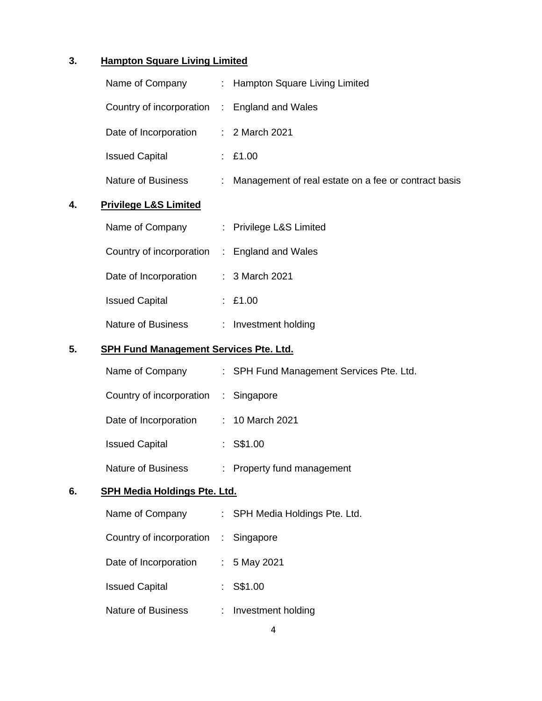# **3. Hampton Square Living Limited**

|    | Name of Company                               |   | : Hampton Square Living Limited                        |  |  |
|----|-----------------------------------------------|---|--------------------------------------------------------|--|--|
|    | Country of incorporation : England and Wales  |   |                                                        |  |  |
|    | Date of Incorporation                         |   | : 2 March 2021                                         |  |  |
|    | <b>Issued Capital</b>                         |   | : £1.00                                                |  |  |
|    | Nature of Business                            |   | : Management of real estate on a fee or contract basis |  |  |
| 4. | <b>Privilege L&amp;S Limited</b>              |   |                                                        |  |  |
|    | Name of Company                               |   | : Privilege L&S Limited                                |  |  |
|    | Country of incorporation : England and Wales  |   |                                                        |  |  |
|    | Date of Incorporation                         |   | : 3 March 2021                                         |  |  |
|    | <b>Issued Capital</b>                         |   | : $£1.00$                                              |  |  |
|    | Nature of Business                            |   | : Investment holding                                   |  |  |
| 5. | <b>SPH Fund Management Services Pte. Ltd.</b> |   |                                                        |  |  |
|    | Name of Company                               |   | : SPH Fund Management Services Pte. Ltd.               |  |  |
|    | Country of incorporation : Singapore          |   |                                                        |  |  |
|    | Date of Incorporation                         |   | : 10 March 2021                                        |  |  |
|    | <b>Issued Capital</b>                         |   | $:$ S\$1.00                                            |  |  |
|    | <b>Nature of Business</b>                     |   | : Property fund management                             |  |  |
| 6. | <b>SPH Media Holdings Pte. Ltd.</b>           |   |                                                        |  |  |
|    | Name of Company                               |   | SPH Media Holdings Pte. Ltd.                           |  |  |
|    | Country of incorporation                      | ÷ | Singapore                                              |  |  |
|    | Date of Incorporation                         |   | 5 May 2021                                             |  |  |
|    | <b>Issued Capital</b>                         |   | S\$1.00                                                |  |  |
|    | Nature of Business                            |   | Investment holding                                     |  |  |